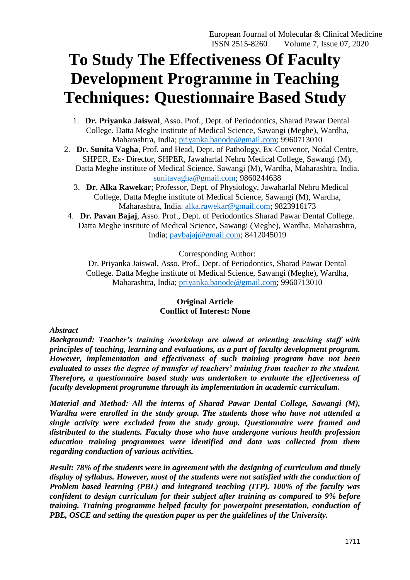# **To Study The Effectiveness Of Faculty Development Programme in Teaching Techniques: Questionnaire Based Study**

- 1. **Dr. Priyanka Jaiswal**, Asso. Prof., Dept. of Periodontics, Sharad Pawar Dental College. Datta Meghe institute of Medical Science, Sawangi (Meghe), Wardha, Maharashtra, India; [priyanka.banode@gmail.com;](mailto:priyanka.banode@gmail.com) 9960713010
- 2. **Dr. Sunita Vagha**, Prof. and Head, Dept. of Pathology, Ex-Convenor, Nodal Centre, SHPER, Ex- Director, SHPER, Jawaharlal Nehru Medical College, Sawangi (M), Datta Meghe institute of Medical Science, Sawangi (M), Wardha, Maharashtra, India. [sunitavagha@gmail.com;](mailto:sunitavagha@gmail.com) 9860244638
	- 3. **Dr. Alka Rawekar**; Professor, Dept. of Physiology, Jawaharlal Nehru Medical College, Datta Meghe institute of Medical Science, Sawangi (M), Wardha, Maharashtra, India. [alka.rawekar@gmail.com;](mailto:alka.rawekar@gmail.com) 9823916173
- 4. **Dr. Pavan Bajaj**, Asso. Prof., Dept. of Periodontics Sharad Pawar Dental College. Datta Meghe institute of Medical Science, Sawangi (Meghe), Wardha, Maharashtra, India; [pavbajaj@gmail.com;](mailto:pavbajaj@gmail.com) 8412045019

Corresponding Author:

Dr. Priyanka Jaiswal, Asso. Prof., Dept. of Periodontics, Sharad Pawar Dental College. Datta Meghe institute of Medical Science, Sawangi (Meghe), Wardha, Maharashtra, India; [priyanka.banode@gmail.com;](mailto:priyanka.banode@gmail.com) 9960713010

## **Original Article Conflict of Interest: None**

## *Abstract*

*Background: Teacher's training /workshop are aimed at orienting teaching staff with principles of teaching, learning and evaluations, as a part of faculty development program. However, implementation and effectiveness of such training program have not been evaluated to asses the degree of transfer of teachers' training from teacher to the student. Therefore, a questionnaire based study was undertaken to evaluate the effectiveness of faculty development programme through its implementation in academic curriculum.*

*Material and Method: All the interns of Sharad Pawar Dental College, Sawangi (M), Wardha were enrolled in the study group. The students those who have not attended a single activity were excluded from the study group. Questionnaire were framed and distributed to the students. Faculty those who have undergone various health profession education training programmes were identified and data was collected from them regarding conduction of various activities.* 

*Result: 78% of the students were in agreement with the designing of curriculum and timely display of syllabus. However, most of the students were not satisfied with the conduction of Problem based learning (PBL) and integrated teaching (ITP). 100% of the faculty was confident to design curriculum for their subject after training as compared to 9% before training. Training programme helped faculty for powerpoint presentation, conduction of PBL, OSCE and setting the question paper as per the guidelines of the University.*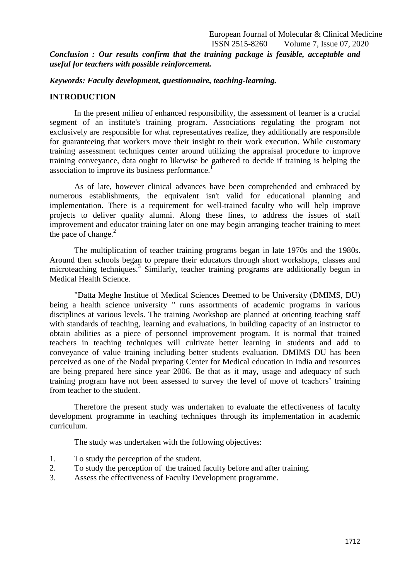*Conclusion : Our results confirm that the training package is feasible, acceptable and useful for teachers with possible reinforcement.*

*Keywords: Faculty development, questionnaire, teaching-learning.*

# **INTRODUCTION**

In the present milieu of enhanced responsibility, the assessment of learner is a crucial segment of an institute's training program. Associations regulating the program not exclusively are responsible for what representatives realize, they additionally are responsible for guaranteeing that workers move their insight to their work execution. While customary training assessment techniques center around utilizing the appraisal procedure to improve training conveyance, data ought to likewise be gathered to decide if training is helping the association to improve its business performance.<sup>1</sup>

As of late, however clinical advances have been comprehended and embraced by numerous establishments, the equivalent isn't valid for educational planning and implementation. There is a requirement for well-trained faculty who will help improve projects to deliver quality alumni. Along these lines, to address the issues of staff improvement and educator training later on one may begin arranging teacher training to meet the pace of change. $2$ 

The multiplication of teacher training programs began in late 1970s and the 1980s. Around then schools began to prepare their educators through short workshops, classes and microteaching techniques.<sup>3</sup> Similarly, teacher training programs are additionally begun in Medical Health Science.

"Datta Meghe Institue of Medical Sciences Deemed to be University (DMIMS, DU) being a health science university " runs assortments of academic programs in various disciplines at various levels. The training /workshop are planned at orienting teaching staff with standards of teaching, learning and evaluations, in building capacity of an instructor to obtain abilities as a piece of personnel improvement program. It is normal that trained teachers in teaching techniques will cultivate better learning in students and add to conveyance of value training including better students evaluation. DMIMS DU has been perceived as one of the Nodal preparing Center for Medical education in India and resources are being prepared here since year 2006. Be that as it may, usage and adequacy of such training program have not been assessed to survey the level of move of teachers" training from teacher to the student.

Therefore the present study was undertaken to evaluate the effectiveness of faculty development programme in teaching techniques through its implementation in academic curriculum.

The study was undertaken with the following objectives:

- 1. To study the perception of the student.
- 2. To study the perception of the trained faculty before and after training.
- 3. Assess the effectiveness of Faculty Development programme.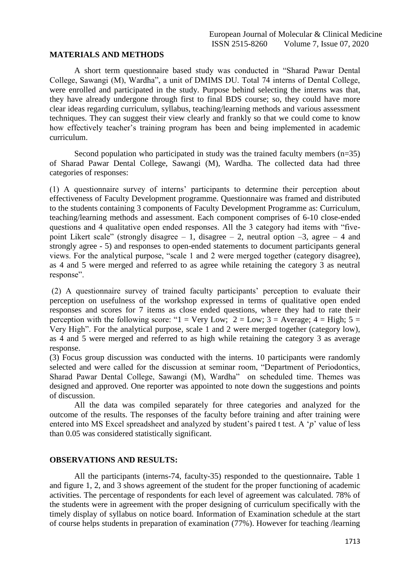#### **MATERIALS AND METHODS**

A short term questionnaire based study was conducted in "Sharad Pawar Dental College, Sawangi (M), Wardha", a unit of DMIMS DU. Total 74 interns of Dental College, were enrolled and participated in the study. Purpose behind selecting the interns was that, they have already undergone through first to final BDS course; so, they could have more clear ideas regarding curriculum, syllabus, teaching/learning methods and various assessment techniques. They can suggest their view clearly and frankly so that we could come to know how effectively teacher's training program has been and being implemented in academic curriculum.

Second population who participated in study was the trained faculty members (n=35) of Sharad Pawar Dental College, Sawangi (M), Wardha. The collected data had three categories of responses:

(1) A questionnaire survey of interns" participants to determine their perception about effectiveness of Faculty Development programme. Questionnaire was framed and distributed to the students containing 3 components of Faculty Development Programme as: Curriculum, teaching/learning methods and assessment. Each component comprises of 6-10 close-ended questions and 4 qualitative open ended responses. All the 3 category had items with "fivepoint Likert scale" (strongly disagree  $-1$ , disagree  $-2$ , neutral option  $-3$ , agree  $-4$  and strongly agree - 5) and responses to open-ended statements to document participants general views. For the analytical purpose, "scale 1 and 2 were merged together (category disagree), as 4 and 5 were merged and referred to as agree while retaining the category 3 as neutral response".

(2) A questionnaire survey of trained faculty participants" perception to evaluate their perception on usefulness of the workshop expressed in terms of qualitative open ended responses and scores for 7 items as close ended questions, where they had to rate their perception with the following score: " $1 = \text{Very Low}; 2 = \text{Low}; 3 = \text{Average}; 4 = \text{High}; 5 =$ Very High". For the analytical purpose, scale 1 and 2 were merged together (category low), as 4 and 5 were merged and referred to as high while retaining the category 3 as average response.

(3) Focus group discussion was conducted with the interns. 10 participants were randomly selected and were called for the discussion at seminar room, "Department of Periodontics, Sharad Pawar Dental College, Sawangi (M), Wardha" on scheduled time. Themes was designed and approved. One reporter was appointed to note down the suggestions and points of discussion.

All the data was compiled separately for three categories and analyzed for the outcome of the results. The responses of the faculty before training and after training were entered into MS Excel spreadsheet and analyzed by student's paired t test. A '*p*' value of less than 0.05 was considered statistically significant.

# **OBSERVATIONS AND RESULTS:**

All the participants (interns-74, faculty-35) responded to the questionnaire**.** Table 1 and figure 1, 2, and 3 shows agreement of the student for the proper functioning of academic activities. The percentage of respondents for each level of agreement was calculated. 78% of the students were in agreement with the proper designing of curriculum specifically with the timely display of syllabus on notice board. Information of Examination schedule at the start of course helps students in preparation of examination (77%). However for teaching /learning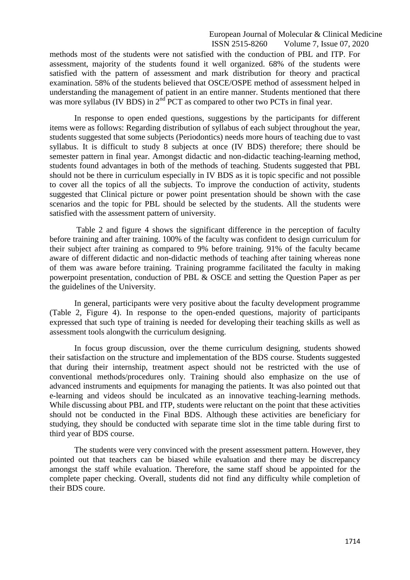#### European Journal of Molecular & Clinical Medicine ISSN 2515-8260 Volume 7, Issue 07, 2020

methods most of the students were not satisfied with the conduction of PBL and ITP. For assessment, majority of the students found it well organized. 68% of the students were satisfied with the pattern of assessment and mark distribution for theory and practical examination. 58% of the students believed that OSCE/OSPE method of assessment helped in understanding the management of patient in an entire manner. Students mentioned that there was more syllabus (IV BDS) in 2<sup>nd</sup> PCT as compared to other two PCTs in final year.

In response to open ended questions, suggestions by the participants for different items were as follows: Regarding distribution of syllabus of each subject throughout the year, students suggested that some subjects (Periodontics) needs more hours of teaching due to vast syllabus. It is difficult to study 8 subjects at once (IV BDS) therefore; there should be semester pattern in final year. Amongst didactic and non-didactic teaching-learning method, students found advantages in both of the methods of teaching. Students suggested that PBL should not be there in curriculum especially in IV BDS as it is topic specific and not possible to cover all the topics of all the subjects. To improve the conduction of activity, students suggested that Clinical picture or power point presentation should be shown with the case scenarios and the topic for PBL should be selected by the students. All the students were satisfied with the assessment pattern of university.

Table 2 and figure 4 shows the significant difference in the perception of faculty before training and after training. 100% of the faculty was confident to design curriculum for their subject after training as compared to 9% before training. 91% of the faculty became aware of different didactic and non-didactic methods of teaching after taining whereas none of them was aware before training. Training programme facilitated the faculty in making powerpoint presentation, conduction of PBL & OSCE and setting the Question Paper as per the guidelines of the University.

In general, participants were very positive about the faculty development programme (Table 2, Figure 4). In response to the open-ended questions, majority of participants expressed that such type of training is needed for developing their teaching skills as well as assessment tools alongwith the curriculum designing.

In focus group discussion, over the theme curriculum designing, students showed their satisfaction on the structure and implementation of the BDS course. Students suggested that during their internship, treatment aspect should not be restricted with the use of conventional methods/procedures only. Training should also emphasize on the use of advanced instruments and equipments for managing the patients. It was also pointed out that e-learning and videos should be inculcated as an innovative teaching-learning methods. While discussing about PBL and ITP, students were reluctant on the point that these activities should not be conducted in the Final BDS. Although these activities are beneficiary for studying, they should be conducted with separate time slot in the time table during first to third year of BDS course.

The students were very convinced with the present assessment pattern. However, they pointed out that teachers can be biased while evaluation and there may be discrepancy amongst the staff while evaluation. Therefore, the same staff shoud be appointed for the complete paper checking. Overall, students did not find any difficulty while completion of their BDS coure.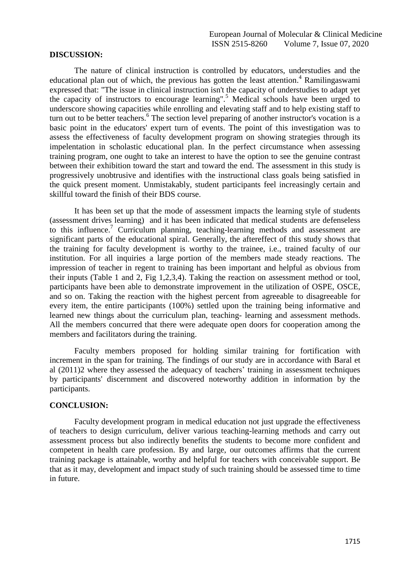#### **DISCUSSION:**

The nature of clinical instruction is controlled by educators, understudies and the educational plan out of which, the previous has gotten the least attention.<sup>4</sup> Ramilingaswami expressed that: "The issue in clinical instruction isn't the capacity of understudies to adapt yet the capacity of instructors to encourage learning".<sup>5</sup> Medical schools have been urged to underscore showing capacities while enrolling and elevating staff and to help existing staff to turn out to be better teachers.<sup>6</sup> The section level preparing of another instructor's vocation is a basic point in the educators' expert turn of events. The point of this investigation was to assess the effectiveness of faculty development program on showing strategies through its impelentation in scholastic educational plan. In the perfect circumstance when assessing training program, one ought to take an interest to have the option to see the genuine contrast between their exhibition toward the start and toward the end. The assessment in this study is progressively unobtrusive and identifies with the instructional class goals being satisfied in the quick present moment. Unmistakably, student participants feel increasingly certain and skillful toward the finish of their BDS course.

It has been set up that the mode of assessment impacts the learning style of students (assessment drives learning) and it has been indicated that medical students are defenseless to this influence.<sup>7</sup> Curriculum planning, teaching-learning methods and assessment are significant parts of the educational spiral. Generally, the aftereffect of this study shows that the training for faculty development is worthy to the trainee, i.e., trained faculty of our institution. For all inquiries a large portion of the members made steady reactions. The impression of teacher in regent to training has been important and helpful as obvious from their inputs (Table 1 and 2, Fig 1,2,3,4). Taking the reaction on assessment method or tool, participants have been able to demonstrate improvement in the utilization of OSPE, OSCE, and so on. Taking the reaction with the highest percent from agreeable to disagreeable for every item, the entire participants (100%) settled upon the training being informative and learned new things about the curriculum plan, teaching- learning and assessment methods. All the members concurred that there were adequate open doors for cooperation among the members and facilitators during the training.

Faculty members proposed for holding similar training for fortification with increment in the span for training. The findings of our study are in accordance with Baral et al  $(2011)$ 2 where they assessed the adequacy of teachers' training in assessment techniques by participants' discernment and discovered noteworthy addition in information by the participants.

#### **CONCLUSION:**

Faculty development program in medical education not just upgrade the effectiveness of teachers to design curriculum, deliver various teaching-learning methods and carry out assessment process but also indirectly benefits the students to become more confident and competent in health care profession. By and large, our outcomes affirms that the current training package is attainable, worthy and helpful for teachers with conceivable support. Be that as it may, development and impact study of such training should be assessed time to time in future.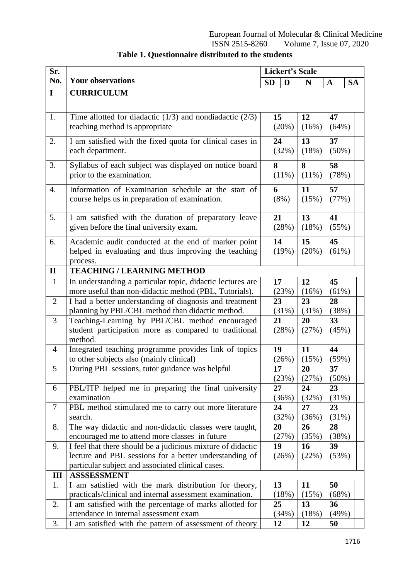| Sr.            |                                                                                                                       | <b>Lickert's Scale</b> |             |                |             |           |  |  |  |
|----------------|-----------------------------------------------------------------------------------------------------------------------|------------------------|-------------|----------------|-------------|-----------|--|--|--|
| No.            | <b>Your observations</b>                                                                                              | <b>SD</b>              | D           | N              | A           | <b>SA</b> |  |  |  |
| $\mathbf I$    | <b>CURRICULUM</b>                                                                                                     |                        |             |                |             |           |  |  |  |
|                |                                                                                                                       |                        |             |                |             |           |  |  |  |
| 1.             | Time allotted for diadactic $(1/3)$ and nondiadactic $(2/3)$                                                          |                        | 15          | 12             | 47          |           |  |  |  |
|                | teaching method is appropriate                                                                                        |                        | (20%)       | (16%)          | (64%)       |           |  |  |  |
| 2.             | I am satisfied with the fixed quota for clinical cases in                                                             |                        | 24          | 13             | 37          |           |  |  |  |
|                | each department.                                                                                                      |                        | (32%)       | (18%)          | $(50\%)$    |           |  |  |  |
| 3.             | Syllabus of each subject was displayed on notice board                                                                |                        | 8           | 8              | 58          |           |  |  |  |
|                | prior to the examination.                                                                                             |                        | (11%)       | (11%)          | (78%)       |           |  |  |  |
|                | Information of Examination schedule at the start of                                                                   |                        | 6           |                | 57          |           |  |  |  |
| 4.             | course helps us in preparation of examination.                                                                        |                        | $(8\%)$     | 11<br>(15%)    | (77%)       |           |  |  |  |
|                |                                                                                                                       |                        |             |                |             |           |  |  |  |
| 5.             | I am satisfied with the duration of preparatory leave                                                                 |                        | 21          | 13             | 41          |           |  |  |  |
|                | given before the final university exam.                                                                               |                        | (28%)       | (18%)          | (55%)       |           |  |  |  |
| 6.             | Academic audit conducted at the end of marker point                                                                   |                        | 14          | 15             | 45          |           |  |  |  |
|                | helped in evaluating and thus improving the teaching                                                                  |                        | (19%)       | (20%)          | (61%)       |           |  |  |  |
|                | process.                                                                                                              |                        |             |                |             |           |  |  |  |
| $\mathbf{I}$   | <b>TEACHING / LEARNING METHOD</b>                                                                                     |                        |             |                |             |           |  |  |  |
| $\mathbf{1}$   | In understanding a particular topic, didactic lectures are                                                            |                        | 17          | 12             | 45          |           |  |  |  |
| $\overline{2}$ | more useful than non-didactic method (PBL, Tutorials).                                                                |                        | (23%)       | (16%)<br>23    | (61%)<br>28 |           |  |  |  |
|                | I had a better understanding of diagnosis and treatment<br>planning by PBL/CBL method than didactic method.           |                        | 23<br>(31%) | (31%)          | (38%)       |           |  |  |  |
| $\overline{3}$ | Teaching-Learning by PBL/CBL method encouraged                                                                        |                        | 21          | 20             | 33          |           |  |  |  |
|                | student participation more as compared to traditional                                                                 |                        | (28%)       | (27%)<br>(45%) |             |           |  |  |  |
|                | method.                                                                                                               |                        |             |                |             |           |  |  |  |
| $\overline{4}$ | Integrated teaching programme provides link of topics                                                                 |                        | 19          | 11             | 44          |           |  |  |  |
|                | to other subjects also (mainly clinical)                                                                              |                        | (26%)       | (15%)          | (59%)       |           |  |  |  |
| 5              | During PBL sessions, tutor guidance was helpful                                                                       |                        | 17<br>(23%) | 20<br>(27%)    | 37<br>(50%) |           |  |  |  |
| 6              | PBL/ITP helped me in preparing the final university                                                                   |                        | 27          | 24             | 23          |           |  |  |  |
|                | examination                                                                                                           |                        | (36%)       | (32%)          | (31%)       |           |  |  |  |
| $\tau$         | PBL method stimulated me to carry out more literature                                                                 |                        | 24          | 27             | 23          |           |  |  |  |
|                | search.                                                                                                               |                        | (32%)       | (36%)          | (31%)       |           |  |  |  |
| 8.             | The way didactic and non-didactic classes were taught,                                                                |                        | 20          | 26             | 28          |           |  |  |  |
|                | encouraged me to attend more classes in future                                                                        |                        | (27%)       | (35%)          | (38%)       |           |  |  |  |
| 9.             | I feel that there should be a judicious mixture of didactic<br>lecture and PBL sessions for a better understanding of |                        | 19<br>(26%) | 16<br>(22%)    | 39<br>(53%) |           |  |  |  |
|                | particular subject and associated clinical cases.                                                                     |                        |             |                |             |           |  |  |  |
| Ш              | <b>ASSSESSMENT</b>                                                                                                    |                        |             |                |             |           |  |  |  |
| 1.             | I am satisfied with the mark distribution for theory,                                                                 |                        | 13          | 11             | 50          |           |  |  |  |
|                | practicals/clinical and internal assessment examination.                                                              |                        | (18%)       | (15%)          | (68%)       |           |  |  |  |
| 2.             | I am satisfied with the percentage of marks allotted for                                                              |                        | 25          | 13             | 36          |           |  |  |  |
|                | attendance in internal assessment exam                                                                                |                        | (34%)       | (18%)          | (49%)       |           |  |  |  |
| 3.             | I am satisfied with the pattern of assessment of theory                                                               |                        | 12          | 12             | 50          |           |  |  |  |

# **Table 1. Questionnaire distributed to the students**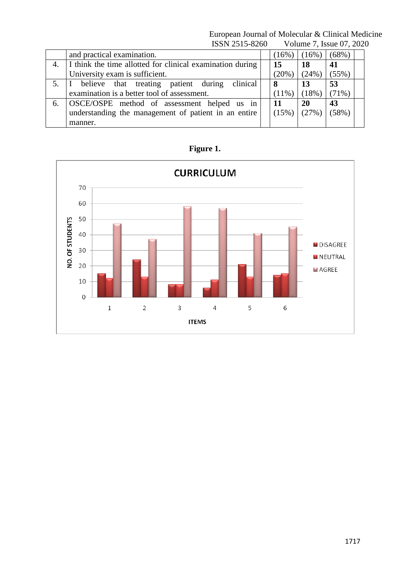European Journal of Molecular & Clinical Medicine ISSN 2515-8260 Volume 7, Issue 07, 2020

|    | and practical examination.                                |  | $(16\%)$ | (16%)    | (68%) |  |  |
|----|-----------------------------------------------------------|--|----------|----------|-------|--|--|
|    | I think the time allotted for clinical examination during |  | 15       | 18       | 41    |  |  |
|    | University exam is sufficient.                            |  | (20%)    | (24%)    | (55%) |  |  |
|    | clinical<br>I believe that treating patient during        |  |          | 13       | 53    |  |  |
|    | examination is a better tool of assessment.               |  | $(11\%)$ | (18%)    | (71%) |  |  |
| 6. | OSCE/OSPE method of assessment helped us in               |  | 11       | 20       | 43    |  |  |
|    | understanding the management of patient in an entire      |  | (15%)    | $(27\%)$ | (58%) |  |  |
|    | manner.                                                   |  |          |          |       |  |  |

**Figure 1.**

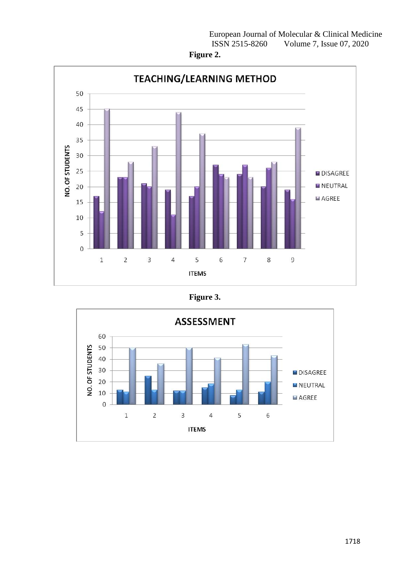



# **Figure 3.**

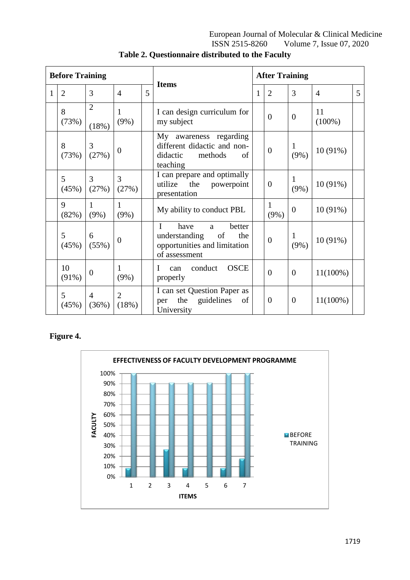European Journal of Molecular & Clinical Medicine<br>ISSN 2515-8260 Volume 7, Issue 07, 2020 Volume 7, Issue 07, 2020

| <b>Before Training</b> |                |                         |                         |   |                                                                                                                    | <b>After Training</b> |                         |                  |                 |   |  |
|------------------------|----------------|-------------------------|-------------------------|---|--------------------------------------------------------------------------------------------------------------------|-----------------------|-------------------------|------------------|-----------------|---|--|
| 1                      | $\overline{2}$ | 3                       | $\overline{4}$          | 5 | <b>Items</b>                                                                                                       |                       | $\overline{2}$          | 3                | $\overline{4}$  | 5 |  |
|                        | 8<br>(73%)     | $\overline{2}$<br>(18%) | 1<br>$(9\%)$            |   | I can design curriculum for<br>my subject                                                                          |                       | $\overline{0}$          | $\boldsymbol{0}$ | 11<br>$(100\%)$ |   |  |
|                        | 8<br>(73%)     | 3<br>(27%)              | $\overline{0}$          |   | My awareness regarding<br>different didactic and non-<br>didactic<br>methods<br>of<br>teaching                     |                       | $\overline{0}$          | 1<br>$(9\%)$     | $10(91\%)$      |   |  |
|                        | 5<br>(45%)     | 3<br>(27%)              | 3<br>(27%)              |   | I can prepare and optimally<br>utilize<br>the<br>powerpoint<br>presentation                                        |                       | $\overline{0}$          | 1<br>$(9\%)$     | $10(91\%)$      |   |  |
|                        | 9<br>(82%)     | 1<br>$(9\%)$            | 1<br>$(9\%)$            |   | My ability to conduct PBL                                                                                          |                       | $\mathbf{1}$<br>$(9\%)$ | $\theta$         | $10(91\%)$      |   |  |
|                        | 5<br>(45%)     | 6<br>(55%)              | $\overline{0}$          |   | $\mathbf{I}$<br>have<br>better<br>a<br>understanding<br>of<br>the<br>opportunities and limitation<br>of assessment |                       | $\overline{0}$          | 1<br>$(9\%)$     | $10(91\%)$      |   |  |
|                        | 10<br>$(91\%)$ | $\theta$                | 1<br>$(9\%)$            |   | <b>OSCE</b><br>conduct<br>I<br>can<br>properly                                                                     |                       | $\overline{0}$          | $\overline{0}$   | $11(100\%)$     |   |  |
|                        | 5<br>(45%)     | $\overline{4}$<br>(36%) | $\overline{2}$<br>(18%) |   | I can set Question Paper as<br>guidelines<br>the<br>of<br>per<br>University                                        |                       | $\mathbf{0}$            | $\theta$         | $11(100\%)$     |   |  |

# **Figure 4.**